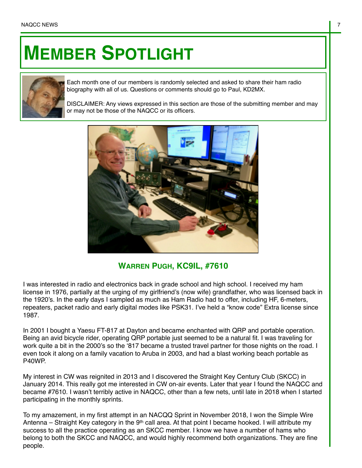## **MEMBER SPOTLIGHT**



Each month one of our members is randomly selected and asked to share their ham radio biography with all of us. Questions or comments should go to Paul, KD2MX.

DISCLAIMER: Any views expressed in this section are those of the submitting member and may or may not be those of the NAQCC or its officers.



## **WARREN PUGH, KC9IL, #7610**

I was interested in radio and electronics back in grade school and high school. I received my ham license in 1976, partially at the urging of my girlfriend's (now wife) grandfather, who was licensed back in the 1920's. In the early days I sampled as much as Ham Radio had to offer, including HF, 6-meters, repeaters, packet radio and early digital modes like PSK31. I've held a "know code" Extra license since 1987.

In 2001 I bought a Yaesu FT-817 at Dayton and became enchanted with QRP and portable operation. Being an avid bicycle rider, operating QRP portable just seemed to be a natural fit. I was traveling for work quite a bit in the 2000's so the '817 became a trusted travel partner for those nights on the road. I even took it along on a family vacation to Aruba in 2003, and had a blast working beach portable as P40WP.

My interest in CW was reignited in 2013 and I discovered the Straight Key Century Club (SKCC) in January 2014. This really got me interested in CW on-air events. Later that year I found the NAQCC and became #7610. I wasn't terribly active in NAQCC, other than a few nets, until late in 2018 when I started participating in the monthly sprints.

To my amazement, in my first attempt in an NACQQ Sprint in November 2018, I won the Simple Wire Antenna – Straight Key category in the 9<sup>th</sup> call area. At that point I became hooked. I will attribute my success to all the practice operating as an SKCC member. I know we have a number of hams who belong to both the SKCC and NAQCC, and would highly recommend both organizations. They are fine people.